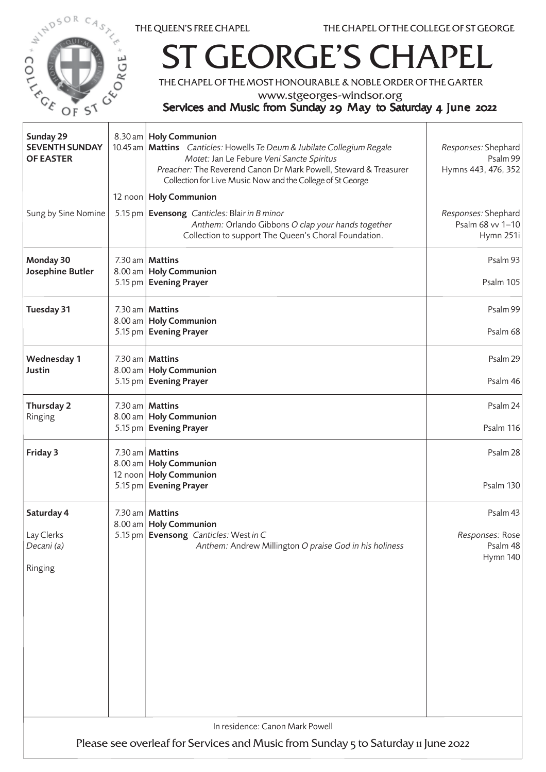

٦



## **GEORGE'S CH**

THE CHAPEL OF THE MOST HONOURABLE & NOBLE ORDER OF THE GARTER

www.stgeorges-windsor.org

## Services and Music from Sunday 29 May to Saturday 4 June 2022

| Sunday 29<br><b>SEVENTH SUNDAY</b><br><b>OF EASTER</b>                                                               |  | 8.30 am   Holy Communion<br>10.45 am   Mattins Canticles: Howells Te Deum & Jubilate Collegium Regale<br>Motet: Jan Le Febure Veni Sancte Spiritus<br>Preacher: The Reverend Canon Dr Mark Powell, Steward & Treasurer<br>Collection for Live Music Now and the College of St George | Responses: Shephard<br>Psalm 99<br>Hymns 443, 476, 352     |  |  |
|----------------------------------------------------------------------------------------------------------------------|--|--------------------------------------------------------------------------------------------------------------------------------------------------------------------------------------------------------------------------------------------------------------------------------------|------------------------------------------------------------|--|--|
| Sung by Sine Nomine                                                                                                  |  | 12 noon   Holy Communion<br>5.15 pm   Evensong Canticles: Blair in B minor<br>Anthem: Orlando Gibbons O clap your hands together<br>Collection to support The Queen's Choral Foundation.                                                                                             | Responses: Shephard<br>Psalm 68 vv 1-10<br>Hymn 251i       |  |  |
| Monday 30<br>Josephine Butler                                                                                        |  | 7.30 am   <b>Mattins</b><br>8.00 am   Holy Communion<br>5.15 pm   Evening Prayer                                                                                                                                                                                                     | Psalm 93<br>Psalm 105                                      |  |  |
| Tuesday 31                                                                                                           |  | 7.30 am   <b>Mattins</b><br>8.00 am   Holy Communion<br>5.15 pm   Evening Prayer                                                                                                                                                                                                     | Psalm 99<br>Psalm 68                                       |  |  |
| <b>Wednesday 1</b><br>Justin                                                                                         |  | 7.30 am   <b>Mattins</b><br>8.00 am   Holy Communion<br>5.15 pm Evening Prayer                                                                                                                                                                                                       | Psalm 29<br>Psalm 46                                       |  |  |
| Thursday 2<br>Ringing                                                                                                |  | 7.30 am   <b>Mattins</b><br>8.00 am   Holy Communion<br>5.15 pm   Evening Prayer                                                                                                                                                                                                     | Psalm 24<br>Psalm 116                                      |  |  |
| Friday 3                                                                                                             |  | 7.30 am   Mattins<br>8.00 am   Holy Communion<br>12 noon   Holy Communion<br>5.15 pm   Evening Prayer                                                                                                                                                                                | Psalm 28<br>Psalm 130                                      |  |  |
| Saturday 4<br>Lay Clerks<br>Decani (a)<br>Ringing                                                                    |  | 7.30 am   Mattins<br>8.00 am   Holy Communion<br>5.15 pm   Evensong Canticles: West in C<br>Anthem: Andrew Millington O praise God in his holiness                                                                                                                                   | Psalm 43<br>Responses: Rose<br>Psalm 48<br><b>Hymn 140</b> |  |  |
| In residence: Canon Mark Powell<br>Please see overleaf for Services and Music from Sunday 5 to Saturday 11 June 2022 |  |                                                                                                                                                                                                                                                                                      |                                                            |  |  |